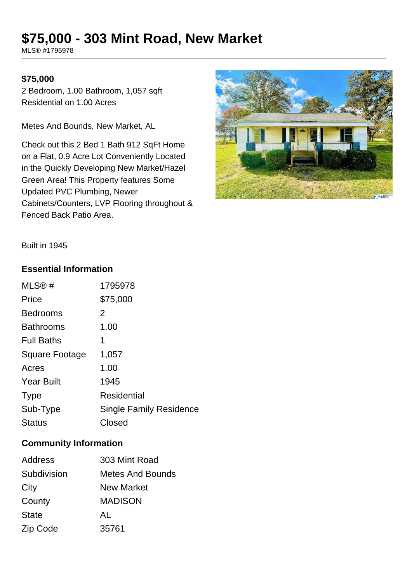# **\$75,000 - 303 Mint Road, New Market**

MLS® #1795978

### **\$75,000**

2 Bedroom, 1.00 Bathroom, 1,057 sqft Residential on 1.00 Acres

Metes And Bounds, New Market, AL

Check out this 2 Bed 1 Bath 912 SqFt Home on a Flat, 0.9 Acre Lot Conveniently Located in the Quickly Developing New Market/Hazel Green Area! This Property features Some Updated PVC Plumbing, Newer Cabinets/Counters, LVP Flooring throughout & Fenced Back Patio Area.



Built in 1945

#### **Essential Information**

| MLS@#                 | 1795978                        |
|-----------------------|--------------------------------|
| Price                 | \$75,000                       |
| <b>Bedrooms</b>       | 2                              |
| <b>Bathrooms</b>      | 1.00                           |
| <b>Full Baths</b>     | 1                              |
| <b>Square Footage</b> | 1,057                          |
| Acres                 | 1.00                           |
| <b>Year Built</b>     | 1945                           |
| <b>Type</b>           | Residential                    |
| Sub-Type              | <b>Single Family Residence</b> |
| <b>Status</b>         | Closed                         |

#### **Community Information**

| Address      | 303 Mint Road           |
|--------------|-------------------------|
| Subdivision  | <b>Metes And Bounds</b> |
| City         | <b>New Market</b>       |
| County       | <b>MADISON</b>          |
| <b>State</b> | AL                      |
| Zip Code     | 35761                   |